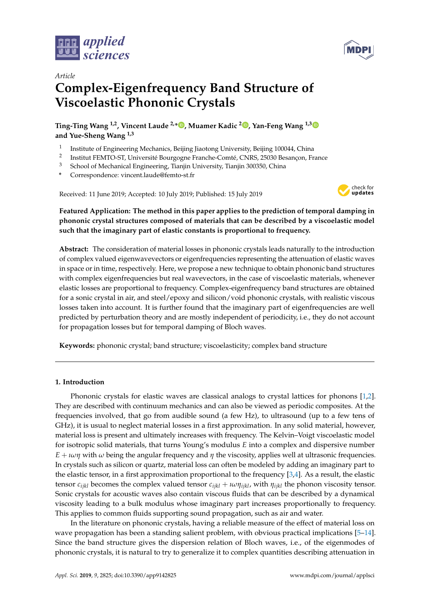



# *Article* **Complex-Eigenfrequency Band Structure of Viscoelastic Phononic Crystals**

**Ting-Ting Wang 1,2, Vincent Laude 2,\* [,](https://orcid.org/0000-0001-8930-8797) Muamer Kadic <sup>2</sup> [,](https://orcid.org/0000-0002-4692-5696) Yan-Feng Wang 1,[3](https://orcid.org/0000-0002-5646-4475) and Yue-Sheng Wang 1,3**

- 1 Institute of Engineering Mechanics, Beijing Jiaotong University, Beijing 100044, China
- 2 Institut FEMTO-ST, Université Bourgogne Franche-Comté, CNRS, 25030 Besançon, France
- <sup>3</sup> School of Mechanical Engineering, Tianjin University, Tianjin 300350, China
- **\*** Correspondence: vincent.laude@femto-st.fr

Received: 11 June 2019; Accepted: 10 July 2019; Published: 15 July 2019



## **Featured Application: The method in this paper applies to the prediction of temporal damping in phononic crystal structures composed of materials that can be described by a viscoelastic model such that the imaginary part of elastic constants is proportional to frequency.**

**Abstract:** The consideration of material losses in phononic crystals leads naturally to the introduction of complex valued eigenwavevectors or eigenfrequencies representing the attenuation of elastic waves in space or in time, respectively. Here, we propose a new technique to obtain phononic band structures with complex eigenfrequencies but real wavevectors, in the case of viscoelastic materials, whenever elastic losses are proportional to frequency. Complex-eigenfrequency band structures are obtained for a sonic crystal in air, and steel/epoxy and silicon/void phononic crystals, with realistic viscous losses taken into account. It is further found that the imaginary part of eigenfrequencies are well predicted by perturbation theory and are mostly independent of periodicity, i.e., they do not account for propagation losses but for temporal damping of Bloch waves.

**Keywords:** phononic crystal; band structure; viscoelasticity; complex band structure

## **1. Introduction**

Phononic crystals for elastic waves are classical analogs to crystal lattices for phonons [\[1,](#page-8-0)[2\]](#page-8-1). They are described with continuum mechanics and can also be viewed as periodic composites. At the frequencies involved, that go from audible sound (a few Hz), to ultrasound (up to a few tens of GHz), it is usual to neglect material losses in a first approximation. In any solid material, however, material loss is present and ultimately increases with frequency. The Kelvin–Voigt viscoelastic model for isotropic solid materials, that turns Young's modulus *E* into a complex and dispersive number  $E + \iota \omega \eta$  with  $\omega$  being the angular frequency and  $\eta$  the viscosity, applies well at ultrasonic frequencies. In crystals such as silicon or quartz, material loss can often be modeled by adding an imaginary part to the elastic tensor, in a first approximation proportional to the frequency [\[3](#page-8-2)[,4\]](#page-8-3). As a result, the elastic tensor  $c_{ijkl}$  becomes the complex valued tensor  $c_{ijkl} + i\omega\eta_{ijkl}$ , with  $\eta_{ijkl}$  the phonon viscosity tensor. Sonic crystals for acoustic waves also contain viscous fluids that can be described by a dynamical viscosity leading to a bulk modulus whose imaginary part increases proportionally to frequency. This applies to common fluids supporting sound propagation, such as air and water.

In the literature on phononic crystals, having a reliable measure of the effect of material loss on wave propagation has been a standing salient problem, with obvious practical implications [\[5–](#page-8-4)[14\]](#page-8-5). Since the band structure gives the dispersion relation of Bloch waves, i.e., of the eigenmodes of phononic crystals, it is natural to try to generalize it to complex quantities describing attenuation in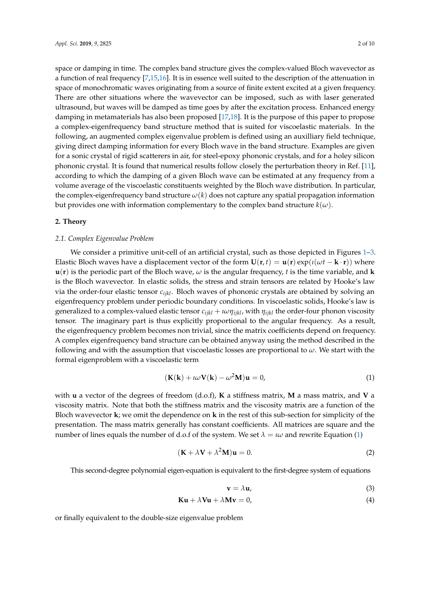space or damping in time. The complex band structure gives the complex-valued Bloch wavevector as a function of real frequency [\[7](#page-8-6)[,15,](#page-8-7)[16\]](#page-9-0). It is in essence well suited to the description of the attenuation in space of monochromatic waves originating from a source of finite extent excited at a given frequency. There are other situations where the wavevector can be imposed, such as with laser generated ultrasound, but waves will be damped as time goes by after the excitation process. Enhanced energy damping in metamaterials has also been proposed [\[17](#page-9-1)[,18\]](#page-9-2). It is the purpose of this paper to propose a complex-eigenfrequency band structure method that is suited for viscoelastic materials. In the following, an augmented complex eigenvalue problem is defined using an auxilliary field technique, giving direct damping information for every Bloch wave in the band structure. Examples are given for a sonic crystal of rigid scatterers in air, for steel-epoxy phononic crystals, and for a holey silicon phononic crystal. It is found that numerical results follow closely the perturbation theory in Ref. [\[11\]](#page-8-8), according to which the damping of a given Bloch wave can be estimated at any frequency from a volume average of the viscoelastic constituents weighted by the Bloch wave distribution. In particular, the complex-eigenfrequency band structure *ω*(*k*) does not capture any spatial propagation information but provides one with information complementary to the complex band structure  $k(\omega)$ .

#### **2. Theory**

#### *2.1. Complex Eigenvalue Problem*

We consider a primitive unit-cell of an artificial crystal, such as those depicted in Figures [1–](#page-4-0)[3.](#page-6-0) Elastic Bloch waves have a displacement vector of the form  $U(\mathbf{r}, t) = \mathbf{u}(\mathbf{r}) \exp(i(\omega t - \mathbf{k} \cdot \mathbf{r}))$  where  **is the periodic part of the Bloch wave,**  $\omega$  **is the angular frequency,** *t* **is the time variable, and <b>k** is the Bloch wavevector. In elastic solids, the stress and strain tensors are related by Hooke's law via the order-four elastic tensor *cijkl*. Bloch waves of phononic crystals are obtained by solving an eigenfrequency problem under periodic boundary conditions. In viscoelastic solids, Hooke's law is generalized to a complex-valued elastic tensor  $c_{ijkl} + i\omega \eta_{ijkl}$ , with  $\eta_{ijkl}$  the order-four phonon viscosity tensor. The imaginary part is thus explicitly proportional to the angular frequency. As a result, the eigenfrequency problem becomes non trivial, since the matrix coefficients depend on frequency. A complex eigenfrequency band structure can be obtained anyway using the method described in the following and with the assumption that viscoelastic losses are proportional to *ω*. We start with the formal eigenproblem with a viscoelastic term

$$
(\mathbf{K}(\mathbf{k}) + \iota \omega \mathbf{V}(\mathbf{k}) - \omega^2 \mathbf{M})\mathbf{u} = 0,
$$
\n(1)

with **u** a vector of the degrees of freedom (d.o.f), **K** a stiffness matrix, **M** a mass matrix, and **V** a viscosity matrix. Note that both the stiffness matrix and the viscosity matrix are a function of the Bloch wavevector **k**; we omit the dependence on **k** in the rest of this sub-section for simplicity of the presentation. The mass matrix generally has constant coefficients. All matrices are square and the number of lines equals the number of d.o.f of the system. We set  $\lambda = \iota \omega$  and rewrite Equation [\(1\)](#page-1-0)

$$
(\mathbf{K} + \lambda \mathbf{V} + \lambda^2 \mathbf{M})\mathbf{u} = 0.
$$
 (2)

This second-degree polynomial eigen-equation is equivalent to the first-degree system of equations

<span id="page-1-0"></span>
$$
\mathbf{v} = \lambda \mathbf{u},\tag{3}
$$

$$
Ku + \lambda Vu + \lambda Mv = 0,
$$
\n(4)

or finally equivalent to the double-size eigenvalue problem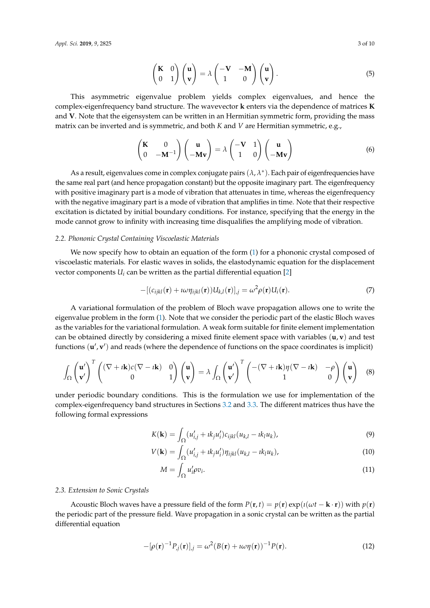$$
\begin{pmatrix} \mathbf{K} & 0 \\ 0 & 1 \end{pmatrix} \begin{pmatrix} \mathbf{u} \\ \mathbf{v} \end{pmatrix} = \lambda \begin{pmatrix} -\mathbf{V} & -\mathbf{M} \\ 1 & 0 \end{pmatrix} \begin{pmatrix} \mathbf{u} \\ \mathbf{v} \end{pmatrix}.
$$
 (5)

This asymmetric eigenvalue problem yields complex eigenvalues, and hence the complex-eigenfrequency band structure. The wavevector **k** enters via the dependence of matrices **K** and **V**. Note that the eigensystem can be written in an Hermitian symmetric form, providing the mass matrix can be inverted and is symmetric, and both *K* and *V* are Hermitian symmetric, e.g.,

$$
\begin{pmatrix} \mathbf{K} & 0 \\ 0 & -\mathbf{M}^{-1} \end{pmatrix} \begin{pmatrix} \mathbf{u} \\ -\mathbf{M} \mathbf{v} \end{pmatrix} = \lambda \begin{pmatrix} -\mathbf{V} & 1 \\ 1 & 0 \end{pmatrix} \begin{pmatrix} \mathbf{u} \\ -\mathbf{M} \mathbf{v} \end{pmatrix}
$$
(6)

As a result, eigenvalues come in complex conjugate pairs (*λ*, *λ* ∗ ). Each pair of eigenfrequencies have the same real part (and hence propagation constant) but the opposite imaginary part. The eigenfrequency with positive imaginary part is a mode of vibration that attenuates in time, whereas the eigenfrequency with the negative imaginary part is a mode of vibration that amplifies in time. Note that their respective excitation is dictated by initial boundary conditions. For instance, specifying that the energy in the mode cannot grow to infinity with increasing time disqualifies the amplifying mode of vibration.

#### *2.2. Phononic Crystal Containing Viscoelastic Materials*

We now specify how to obtain an equation of the form [\(1\)](#page-1-0) for a phononic crystal composed of viscoelastic materials. For elastic waves in solids, the elastodynamic equation for the displacement vector components  $U_i$  can be written as the partial differential equation [\[2\]](#page-8-1)

$$
-[(c_{ijkl}(\mathbf{r}) + i\omega \eta_{ijkl}(\mathbf{r}))U_{kl}(\mathbf{r})]_{,j} = \omega^2 \rho(\mathbf{r})U_i(\mathbf{r}).
$$
\n(7)

A variational formulation of the problem of Bloch wave propagation allows one to write the eigenvalue problem in the form [\(1\)](#page-1-0). Note that we consider the periodic part of the elastic Bloch waves as the variables for the variational formulation. A weak form suitable for finite element implementation can be obtained directly by considering a mixed finite element space with variables (**u**, **v**) and test functions (**u'**, **v'**) and reads (where the dependence of functions on the space coordinates is implicit)

$$
\int_{\Omega} \begin{pmatrix} \mathbf{u}' \\ \mathbf{v}' \end{pmatrix}^{T} \begin{pmatrix} (\nabla + i\mathbf{k})c(\nabla - i\mathbf{k}) & 0 \\ 0 & 1 \end{pmatrix} \begin{pmatrix} \mathbf{u} \\ \mathbf{v} \end{pmatrix} = \lambda \int_{\Omega} \begin{pmatrix} \mathbf{u}' \\ \mathbf{v}' \end{pmatrix}^{T} \begin{pmatrix} -(\nabla + i\mathbf{k})\eta(\nabla - i\mathbf{k}) & -\rho \\ 1 & 0 \end{pmatrix} \begin{pmatrix} \mathbf{u} \\ \mathbf{v} \end{pmatrix} \tag{8}
$$

under periodic boundary conditions. This is the formulation we use for implementation of the complex-eigenfrequency band structures in Sections [3.2](#page-4-1) and [3.3.](#page-6-1) The different matrices thus have the following formal expressions

$$
K(\mathbf{k}) = \int_{\Omega} (u'_{i,j} + \imath k_j u'_i) c_{ijkl} (u_{k,l} - \imath k_l u_k), \tag{9}
$$

$$
V(\mathbf{k}) = \int_{\Omega} (u'_{i,j} + \imath k_j u'_i) \eta_{ijkl} (u_{k,l} - \imath k_l u_k), \tag{10}
$$

<span id="page-2-0"></span>
$$
M = \int_{\Omega} u'_i \rho v_i. \tag{11}
$$

#### <span id="page-2-1"></span>*2.3. Extension to Sonic Crystals*

Acoustic Bloch waves have a pressure field of the form  $P(\mathbf{r}, t) = p(\mathbf{r}) \exp(i(\omega t - \mathbf{k} \cdot \mathbf{r}))$  with  $p(\mathbf{r})$ the periodic part of the pressure field. Wave propagation in a sonic crystal can be written as the partial differential equation

$$
-[\rho(\mathbf{r})^{-1}P_{j}(\mathbf{r})]_{j} = \omega^{2}(B(\mathbf{r}) + i\omega\eta(\mathbf{r}))^{-1}P(\mathbf{r}).
$$
\n(12)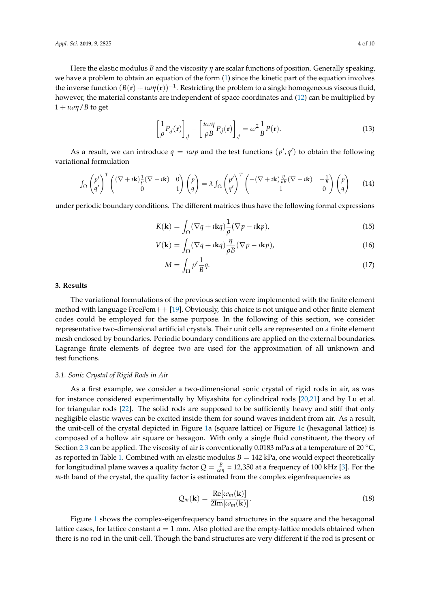Here the elastic modulus *B* and the viscosity *η* are scalar functions of position. Generally speaking, we have a problem to obtain an equation of the form [\(1\)](#page-1-0) since the kinetic part of the equation involves the inverse function  $(B(\mathbf{r}) + \iota \omega \eta(\mathbf{r}))^{-1}$ . Restricting the problem to a single homogeneous viscous fluid, however, the material constants are independent of space coordinates and [\(12\)](#page-2-0) can be multiplied by  $1 + \iota \omega \eta / B$  to get

$$
-\left[\frac{1}{\rho}P_{,j}(\mathbf{r})\right]_{,j}-\left[\frac{i\omega\eta}{\rho B}P_{,j}(\mathbf{r})\right]_{,j}=\omega^2\frac{1}{B}P(\mathbf{r}).
$$
\n(13)

As a result, we can introduce  $q = \iota \omega p$  and the test functions  $(p', q')$  to obtain the following variational formulation

$$
\int_{\Omega} \begin{pmatrix} p' \\ q' \end{pmatrix}^T \begin{pmatrix} (\nabla + i\mathbf{k}) \frac{1}{\rho} (\nabla - i\mathbf{k}) & 0 \\ 0 & 1 \end{pmatrix} \begin{pmatrix} p \\ q \end{pmatrix} = \lambda \int_{\Omega} \begin{pmatrix} p' \\ q' \end{pmatrix}^T \begin{pmatrix} -(\nabla + i\mathbf{k}) \frac{\eta}{\rho B} (\nabla - i\mathbf{k}) & -\frac{1}{B} \\ 1 & 0 \end{pmatrix} \begin{pmatrix} p \\ q \end{pmatrix}
$$
(14)

under periodic boundary conditions. The different matrices thus have the following formal expressions

$$
K(\mathbf{k}) = \int_{\Omega} (\nabla q + i \mathbf{k} q) \frac{1}{\rho} (\nabla p - i \mathbf{k} p), \tag{15}
$$

$$
V(\mathbf{k}) = \int_{\Omega} (\nabla q + i \mathbf{k} q) \frac{\eta}{\rho B} (\nabla p - i \mathbf{k} p), \tag{16}
$$

$$
M = \int_{\Omega} p' \frac{1}{B} q. \tag{17}
$$

#### <span id="page-3-0"></span>**3. Results**

The variational formulations of the previous section were implemented with the finite element method with language FreeFem $++$  [\[19\]](#page-9-3). Obviously, this choice is not unique and other finite element codes could be employed for the same purpose. In the following of this section, we consider representative two-dimensional artificial crystals. Their unit cells are represented on a finite element mesh enclosed by boundaries. Periodic boundary conditions are applied on the external boundaries. Lagrange finite elements of degree two are used for the approximation of all unknown and test functions.

#### *3.1. Sonic Crystal of Rigid Rods in Air*

As a first example, we consider a two-dimensional sonic crystal of rigid rods in air, as was for instance considered experimentally by Miyashita for cylindrical rods [\[20,](#page-9-4)[21\]](#page-9-5) and by Lu et al. for triangular rods [\[22\]](#page-9-6). The solid rods are supposed to be sufficiently heavy and stiff that only negligible elastic waves can be excited inside them for sound waves incident from air. As a result, the unit-cell of the crystal depicted in Figure [1a](#page-4-0) (square lattice) or Figure [1c](#page-4-0) (hexagonal lattice) is composed of a hollow air square or hexagon. With only a single fluid constituent, the theory of Section [2.3](#page-2-1) can be applied. The viscosity of air is conventionally 0.0183 mPa.s at a temperature of 20  $^{\circ}$ C, as reported in Table [1.](#page-4-2) Combined with an elastic modulus  $B = 142$  kPa, one would expect theoretically for longitudinal plane waves a quality factor  $Q = \frac{B}{\omega \eta} = 12{,}350$  at a frequency of 100 kHz [\[3\]](#page-8-2). For the *m*-th band of the crystal, the quality factor is estimated from the complex eigenfrequencies as

$$
Q_m(\mathbf{k}) = \frac{\text{Re}[\omega_m(\mathbf{k})]}{2\text{Im}[\omega_m(\mathbf{k})]}.
$$
\n(18)

Figure [1](#page-4-0) shows the complex-eigenfrequency band structures in the square and the hexagonal lattice cases, for lattice constant  $a = 1$  mm. Also plotted are the empty-lattice models obtained when there is no rod in the unit-cell. Though the band structures are very different if the rod is present or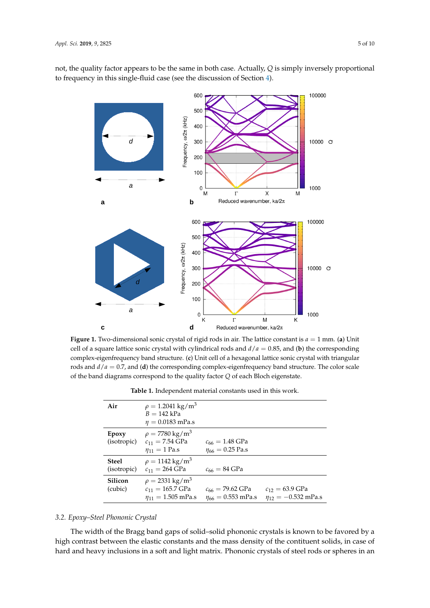<span id="page-4-0"></span>not, the quality factor appears to be the same in both case. Actually, *Q* is simply inversely proportional to frequency in this single-fluid case (see the discussion of Section [4\)](#page-6-2).



<span id="page-4-2"></span>**Figure 1.** Two-dimensional sonic crystal of rigid rods in air. The lattice constant is *a* = 1 mm. (**a**) Unit cell of a square lattice sonic crystal with cylindrical rods and *d*/*a* = 0.85, and (**b**) the corresponding complex-eigenfrequency band structure. (**c**) Unit cell of a hexagonal lattice sonic crystal with triangular rods and *d*/*a* = 0.7, and (**d**) the corresponding complex-eigenfrequency band structure. The color scale of the band diagrams correspond to the quality factor *Q* of each Bloch eigenstate.

| Air                         | $\rho = 1.2041 \text{ kg/m}^3$<br>$B = 142$ kPa                                        |                                                   |                                                |
|-----------------------------|----------------------------------------------------------------------------------------|---------------------------------------------------|------------------------------------------------|
|                             | $\eta = 0.0183$ mPa.s                                                                  |                                                   |                                                |
| Epoxy<br>(isotropic)        | $\rho = 7780 \text{ kg/m}^3$<br>$c_{11} = 7.54$ GPa                                    | $c_{66} = 1.48 \text{ GPa}$                       |                                                |
|                             | $\eta_{11} = 1$ Pa.s                                                                   | $\eta_{66} = 0.25$ Pa.s                           |                                                |
| <b>Steel</b><br>(isotropic) | $\rho = 1142 \text{ kg/m}^3$<br>$c_{11} = 264 \text{ GPa}$                             | $c_{66} = 84 \text{ GPa}$                         |                                                |
| Silicon<br>(cubic)          | $\rho = 2331 \text{ kg/m}^3$<br>$c_{11} = 165.7 \text{ GPa}$<br>$n_{11} = 1.505$ mPa.s | $c_{66} = 79.62$ GPa<br>$\eta_{66} = 0.553$ mPa.s | $c_{12} = 63.9$ GPa<br>$n_{12} = -0.532$ mPa.s |

### <span id="page-4-1"></span>*3.2. Epoxy–Steel Phononic Crystal*

The width of the Bragg band gaps of solid–solid phononic crystals is known to be favored by a high contrast between the elastic constants and the mass density of the contituent solids, in case of hard and heavy inclusions in a soft and light matrix. Phononic crystals of steel rods or spheres in an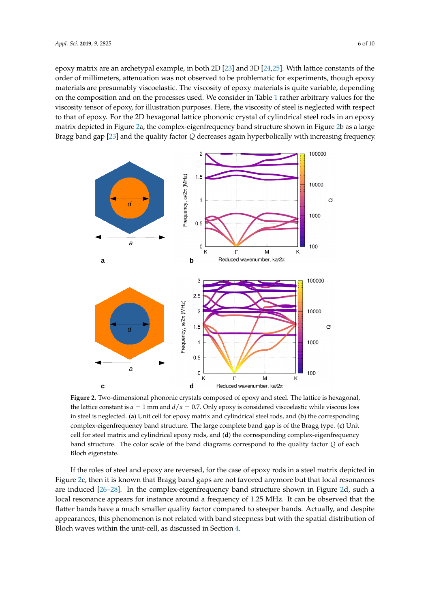epoxy matrix are an archetypal example, in both 2D [\[23\]](#page-9-7) and 3D [\[24](#page-9-8)[,25\]](#page-9-9). With lattice constants of the order of millimeters, attenuation was not observed to be problematic for experiments, though epoxy materials are presumably viscoelastic. The viscosity of epoxy materials is quite variable, depending on the composition and on the processes used. We consider in Table [1](#page-4-2) rather arbitrary values for the viscosity tensor of epoxy, for illustration purposes. Here, the viscosity of steel is neglected with respect to that of epoxy. For the 2D hexagonal lattice phononic crystal of cylindrical steel rods in an epoxy matrix depicted in Figure [2a](#page-5-0), the complex-eigenfrequency band structure shown in Figure [2b](#page-5-0) as a large Bragg band gap [\[23\]](#page-9-7) and the quality factor *Q* decreases again hyperbolically with increasing frequency.

<span id="page-5-0"></span>

**Figure 2.** Two-dimensional phononic crystals composed of epoxy and steel. The lattice is hexagonal, the lattice constant is  $a = 1$  mm and  $d/a = 0.7$ . Only epoxy is considered viscoelastic while viscous loss in steel is neglected. (**a**) Unit cell for epoxy matrix and cylindrical steel rods, and (**b**) the corresponding complex-eigenfrequency band structure. The large complete band gap is of the Bragg type. (**c**) Unit cell for steel matrix and cylindrical epoxy rods, and (**d**) the corresponding complex-eigenfrequency band structure. The color scale of the band diagrams correspond to the quality factor *Q* of each Bloch eigenstate.

If the roles of steel and epoxy are reversed, for the case of epoxy rods in a steel matrix depicted in Figure [2c](#page-5-0), then it is known that Bragg band gaps are not favored anymore but that local resonances are induced [\[26–](#page-9-10)[28\]](#page-9-11). In the complex-eigenfrequency band structure shown in Figure [2d](#page-5-0), such a local resonance appears for instance around a frequency of 1.25 MHz. It can be observed that the flatter bands have a much smaller quality factor compared to steeper bands. Actually, and despite appearances, this phenomenon is not related with band steepness but with the spatial distribution of Bloch waves within the unit-cell, as discussed in Section [4.](#page-6-2)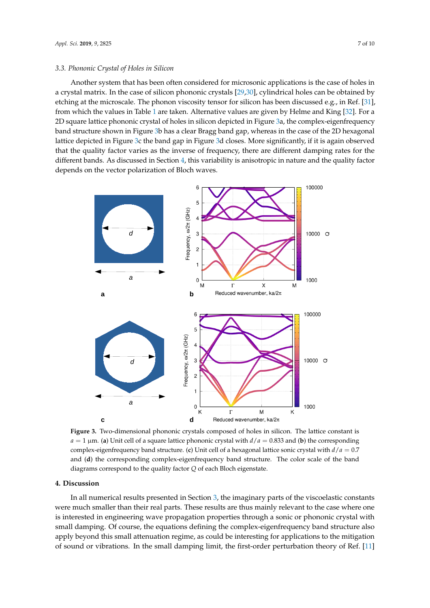#### <span id="page-6-1"></span>*3.3. Phononic Crystal of Holes in Silicon*

Another system that has been often considered for microsonic applications is the case of holes in a crystal matrix. In the case of silicon phononic crystals [\[29](#page-9-12)[,30\]](#page-9-13), cylindrical holes can be obtained by etching at the microscale. The phonon viscosity tensor for silicon has been discussed e.g., in Ref. [\[31\]](#page-9-14), from which the values in Table [1](#page-4-2) are taken. Alternative values are given by Helme and King [\[32\]](#page-9-15). For a 2D square lattice phononic crystal of holes in silicon depicted in Figure [3a](#page-6-0), the complex-eigenfrequency band structure shown in Figure [3b](#page-6-0) has a clear Bragg band gap, whereas in the case of the 2D hexagonal lattice depicted in Figure [3c](#page-6-0) the band gap in Figure [3d](#page-6-0) closes. More significantly, if it is again observed that the quality factor varies as the inverse of frequency, there are different damping rates for the different bands. As discussed in Section [4,](#page-6-2) this variability is anisotropic in nature and the quality factor depends on the vector polarization of Bloch waves.

<span id="page-6-0"></span>

**Figure 3.** Two-dimensional phononic crystals composed of holes in silicon. The lattice constant is  $a = 1 \mu$ m. (**a**) Unit cell of a square lattice phononic crystal with  $d/a = 0.833$  and (**b**) the corresponding complex-eigenfrequency band structure. (**c**) Unit cell of a hexagonal lattice sonic crystal with *d*/*a* = 0.7 and (**d**) the corresponding complex-eigenfrequency band structure. The color scale of the band diagrams correspond to the quality factor *Q* of each Bloch eigenstate.

## <span id="page-6-2"></span>**4. Discussion**

In all numerical results presented in Section [3,](#page-3-0) the imaginary parts of the viscoelastic constants were much smaller than their real parts. These results are thus mainly relevant to the case where one is interested in engineering wave propagation properties through a sonic or phononic crystal with small damping. Of course, the equations defining the complex-eigenfrequency band structure also apply beyond this small attenuation regime, as could be interesting for applications to the mitigation of sound or vibrations. In the small damping limit, the first-order perturbation theory of Ref. [\[11\]](#page-8-8)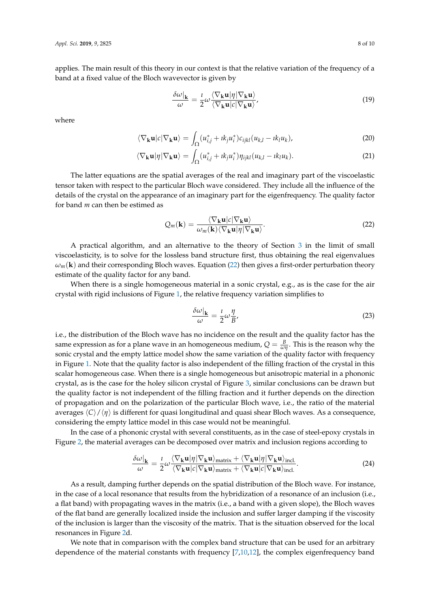applies. The main result of this theory in our context is that the relative variation of the frequency of a band at a fixed value of the Bloch wavevector is given by

$$
\frac{\delta\omega|_{\mathbf{k}}}{\omega} = \frac{i}{2} \omega \frac{\langle \nabla_{\mathbf{k}} \mathbf{u} | \eta | \nabla_{\mathbf{k}} \mathbf{u} \rangle}{\langle \nabla_{\mathbf{k}} \mathbf{u} | c | \nabla_{\mathbf{k}} \mathbf{u} \rangle},\tag{19}
$$

where

$$
\langle \nabla_{\mathbf{k}} \mathbf{u} | c | \nabla_{\mathbf{k}} \mathbf{u} \rangle = \int_{\Omega} (u_{i,j}^* + ik_j u_i^*) c_{ijkl} (u_{k,l} - ik_l u_k), \tag{20}
$$

$$
\langle \nabla_{\mathbf{k}} \mathbf{u} | \eta | \nabla_{\mathbf{k}} \mathbf{u} \rangle = \int_{\Omega} (u_{i,j}^* + ik_j u_i^*) \eta_{ijkl} (u_{k,l} - ik_l u_k).
$$
 (21)

The latter equations are the spatial averages of the real and imaginary part of the viscoelastic tensor taken with respect to the particular Bloch wave considered. They include all the influence of the details of the crystal on the appearance of an imaginary part for the eigenfrequency. The quality factor for band *m* can then be estimed as

$$
Q_m(\mathbf{k}) = \frac{\langle \nabla_{\mathbf{k}} \mathbf{u} | c | \nabla_{\mathbf{k}} \mathbf{u} \rangle}{\omega_m(\mathbf{k}) \langle \nabla_{\mathbf{k}} \mathbf{u} | \eta | \nabla_{\mathbf{k}} \mathbf{u} \rangle}.
$$
 (22)

A practical algorithm, and an alternative to the theory of Section [3](#page-3-0) in the limit of small viscoelasticity, is to solve for the lossless band structure first, thus obtaining the real eigenvalues  $\omega_m(\mathbf{k})$  and their corresponding Bloch waves. Equation [\(22\)](#page-7-0) then gives a first-order perturbation theory estimate of the quality factor for any band.

When there is a single homogeneous material in a sonic crystal, e.g., as is the case for the air crystal with rigid inclusions of Figure [1,](#page-4-0) the relative frequency variation simplifies to

<span id="page-7-0"></span>
$$
\frac{\delta\omega|_{\mathbf{k}}}{\omega} = \frac{\imath}{2}\omega\frac{\eta}{B},\tag{23}
$$

i.e., the distribution of the Bloch wave has no incidence on the result and the quality factor has the same expression as for a plane wave in an homogeneous medium,  $Q = \frac{B}{\omega \eta}$ . This is the reason why the sonic crystal and the empty lattice model show the same variation of the quality factor with frequency in Figure [1.](#page-4-0) Note that the quality factor is also independent of the filling fraction of the crystal in this scalar homogeneous case. When there is a single homogeneous but anisotropic material in a phononic crystal, as is the case for the holey silicon crystal of Figure [3,](#page-6-0) similar conclusions can be drawn but the quality factor is not independent of the filling fraction and it further depends on the direction of propagation and on the polarization of the particular Bloch wave, i.e., the ratio of the material averages  $\langle C \rangle / \langle \eta \rangle$  is different for quasi longitudinal and quasi shear Bloch waves. As a consequence, considering the empty lattice model in this case would not be meaningful.

In the case of a phononic crystal with several constituents, as in the case of steel-epoxy crystals in Figure [2,](#page-5-0) the material averages can be decomposed over matrix and inclusion regions according to

$$
\frac{\delta\omega|_{\mathbf{k}}}{\omega} = \frac{\iota}{2} \omega \frac{\langle \nabla_{\mathbf{k}} \mathbf{u} | \eta | \nabla_{\mathbf{k}} \mathbf{u} \rangle_{\text{matrix}} + \langle \nabla_{\mathbf{k}} \mathbf{u} | \eta | \nabla_{\mathbf{k}} \mathbf{u} \rangle_{\text{incl.}}}{\langle \nabla_{\mathbf{k}} \mathbf{u} | c | \nabla_{\mathbf{k}} \mathbf{u} \rangle_{\text{matrix}} + \langle \nabla_{\mathbf{k}} \mathbf{u} | c | \nabla_{\mathbf{k}} \mathbf{u} \rangle_{\text{incl.}}}.
$$
\n(24)

As a result, damping further depends on the spatial distribution of the Bloch wave. For instance, in the case of a local resonance that results from the hybridization of a resonance of an inclusion (i.e., a flat band) with propagating waves in the matrix (i.e., a band with a given slope), the Bloch waves of the flat band are generally localized inside the inclusion and suffer larger damping if the viscosity of the inclusion is larger than the viscosity of the matrix. That is the situation observed for the local resonances in Figure [2d](#page-5-0).

We note that in comparison with the complex band structure that can be used for an arbitrary dependence of the material constants with frequency [\[7](#page-8-6)[,10,](#page-8-9)[12\]](#page-8-10), the complex eigenfrequency band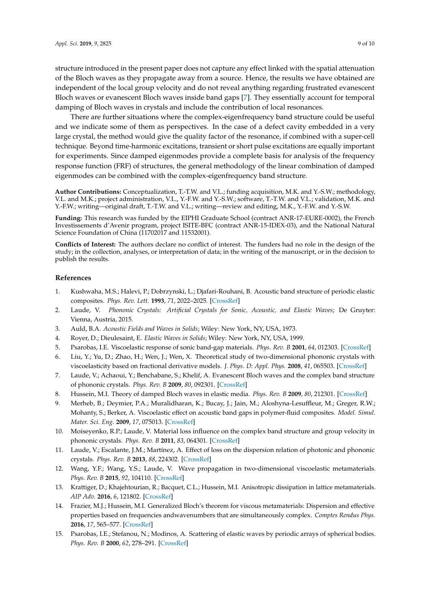structure introduced in the present paper does not capture any effect linked with the spatial attenuation of the Bloch waves as they propagate away from a source. Hence, the results we have obtained are independent of the local group velocity and do not reveal anything regarding frustrated evanescent Bloch waves or evanescent Bloch waves inside band gaps [\[7\]](#page-8-6). They essentially account for temporal damping of Bloch waves in crystals and include the contribution of local resonances.

There are further situations where the complex-eigenfrequency band structure could be useful and we indicate some of them as perspectives. In the case of a defect cavity embedded in a very large crystal, the method would give the quality factor of the resonance, if combined with a super-cell technique. Beyond time-harmonic excitations, transient or short pulse excitations are equally important for experiments. Since damped eigenmodes provide a complete basis for analysis of the frequency response function (FRF) of structures, the general methodology of the linear combination of damped eigenmodes can be combined with the complex-eigenfrequency band structure.

**Author Contributions:** Conceptualization, T.-T.W. and V.L.; funding acquisition, M.K. and Y.-S.W.; methodology, V.L. and M.K.; project administration, V.L., Y.-F.W. and Y.-S.W.; software, T.-T.W. and V.L.; validation, M.K. and Y.-F.W.; writing—original draft, T.-T.W. and V.L.; writing—review and editing, M.K., Y.-F.W. and Y.-S.W.

**Funding:** This research was funded by the EIPHI Graduate School (contract ANR-17-EURE-0002), the French Investissements d'Avenir program, project ISITE-BFC (contract ANR-15-IDEX-03), and the National Natural Science Foundation of China (11702017 and 11532001).

**Conflicts of Interest:** The authors declare no conflict of interest. The funders had no role in the design of the study; in the collection, analyses, or interpretation of data; in the writing of the manuscript, or in the decision to publish the results.

#### **References**

- <span id="page-8-0"></span>1. Kushwaha, M.S.; Halevi, P.; Dobrzynski, L.; Djafari-Rouhani, B. Acoustic band structure of periodic elastic composites. *Phys. Rev. Lett.* **1993**, *71*, 2022–2025. [\[CrossRef\]](http://dx.doi.org/10.1103/PhysRevLett.71.2022)
- <span id="page-8-1"></span>2. Laude, V. *Phononic Crystals: Artificial Crystals for Sonic, Acoustic, and Elastic Waves*; De Gruyter: Vienna, Austria, 2015.
- <span id="page-8-2"></span>3. Auld, B.A. *Acoustic Fields and Waves in Solids*; Wiley: New York, NY, USA, 1973.
- <span id="page-8-3"></span>4. Royer, D.; Dieulesaint, E. *Elastic Waves in Solids*; Wiley: New York, NY, USA, 1999.
- <span id="page-8-4"></span>5. Psarobas, I.E. Viscoelastic response of sonic band-gap materials. *Phys. Rev. B* **2001**, *64*, 012303. [\[CrossRef\]](http://dx.doi.org/10.1103/PhysRevB.64.012303)
- 6. Liu, Y.; Yu, D.; Zhao, H.; Wen, J.; Wen, X. Theoretical study of two-dimensional phononic crystals with viscoelasticity based on fractional derivative models. *J. Phys. D: Appl. Phys.* **2008**, *41*, 065503. [\[CrossRef\]](http://dx.doi.org/10.1088/0022-3727/41/6/065503)
- <span id="page-8-6"></span>7. Laude, V.; Achaoui, Y.; Benchabane, S.; Khelif, A. Evanescent Bloch waves and the complex band structure of phononic crystals. *Phys. Rev. B* **2009**, *80*, 092301. [\[CrossRef\]](http://dx.doi.org/10.1103/PhysRevB.80.092301)
- 8. Hussein, M.I. Theory of damped Bloch waves in elastic media. *Phys. Rev. B* **2009**, *80*, 212301. [\[CrossRef\]](http://dx.doi.org/10.1103/PhysRevB.80.212301)
- 9. Merheb, B.; Deymier, P.A.; Muralidharan, K.; Bucay, J.; Jain, M.; Aloshyna-Lesuffleur, M.; Greger, R.W.; Mohanty, S.; Berker, A. Viscoelastic effect on acoustic band gaps in polymer-fluid composites. *Model. Simul. Mater. Sci. Eng.* **2009**, *17*, 075013. [\[CrossRef\]](http://dx.doi.org/10.1088/0965-0393/17/7/075013)
- <span id="page-8-9"></span>10. Moiseyenko, R.P.; Laude, V. Material loss influence on the complex band structure and group velocity in phononic crystals. *Phys. Rev. B* **2011**, *83*, 064301. [\[CrossRef\]](http://dx.doi.org/10.1103/PhysRevB.83.064301)
- <span id="page-8-8"></span>11. Laude, V.; Escalante, J.M.; Martínez, A. Effect of loss on the dispersion relation of photonic and phononic crystals. *Phys. Rev. B* **2013**, *88*, 224302. [\[CrossRef\]](http://dx.doi.org/10.1103/PhysRevB.88.224302)
- <span id="page-8-10"></span>12. Wang, Y.F.; Wang, Y.S.; Laude, V. Wave propagation in two-dimensional viscoelastic metamaterials. *Phys. Rev. B* **2015**, *92*, 104110. [\[CrossRef\]](http://dx.doi.org/10.1103/PhysRevB.92.104110)
- 13. Krattiger, D.; Khajehtourian, R.; Bacquet, C.L.; Hussein, M.I. Anisotropic dissipation in lattice metamaterials. *AIP Adv.* **2016**, *6*, 121802. [\[CrossRef\]](http://dx.doi.org/10.1063/1.4973590)
- <span id="page-8-5"></span>14. Frazier, M.J.; Hussein, M.I. Generalized Bloch's theorem for viscous metamaterials: Dispersion and effective properties based on frequencies andwavenumbers that are simultaneously complex. *Comptes Rendus Phys.* **2016**, *17*, 565–577. [\[CrossRef\]](http://dx.doi.org/10.1016/j.crhy.2016.02.009)
- <span id="page-8-7"></span>15. Psarobas, I.E.; Stefanou, N.; Modinos, A. Scattering of elastic waves by periodic arrays of spherical bodies. *Phys. Rev. B* **2000**, *62*, 278–291. [\[CrossRef\]](http://dx.doi.org/10.1103/PhysRevB.62.278)